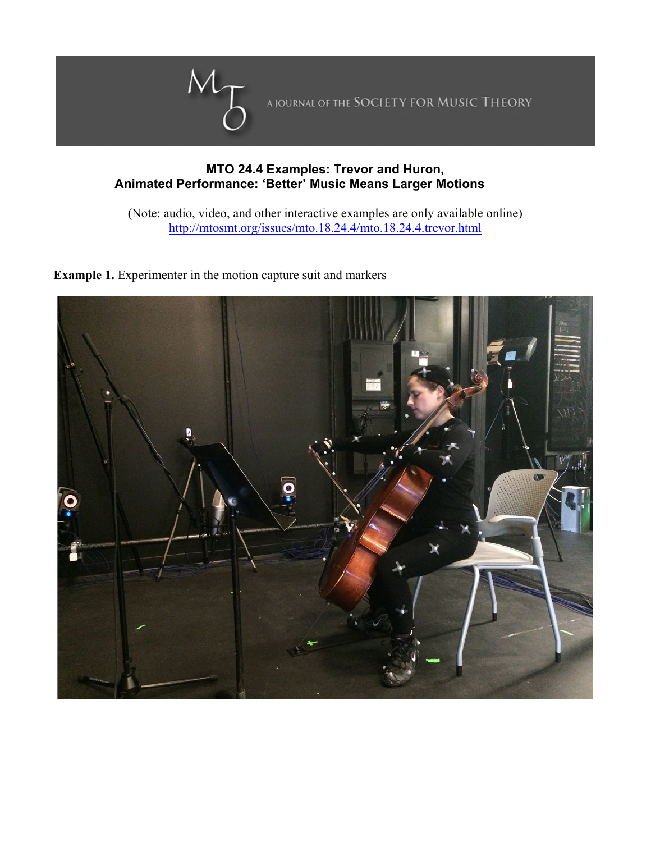

## **MTO 24.4 Examples: Trevor and Huron, Animated Performance: 'Better' Music Means Larger Motions**

(Note: audio, video, and other interactive examples are only available online) http://mtosmt.org/issues/mto.18.24.4/mto.18.24.4.trevor.html

**Example 1.** Experimenter in the motion capture suit and markers

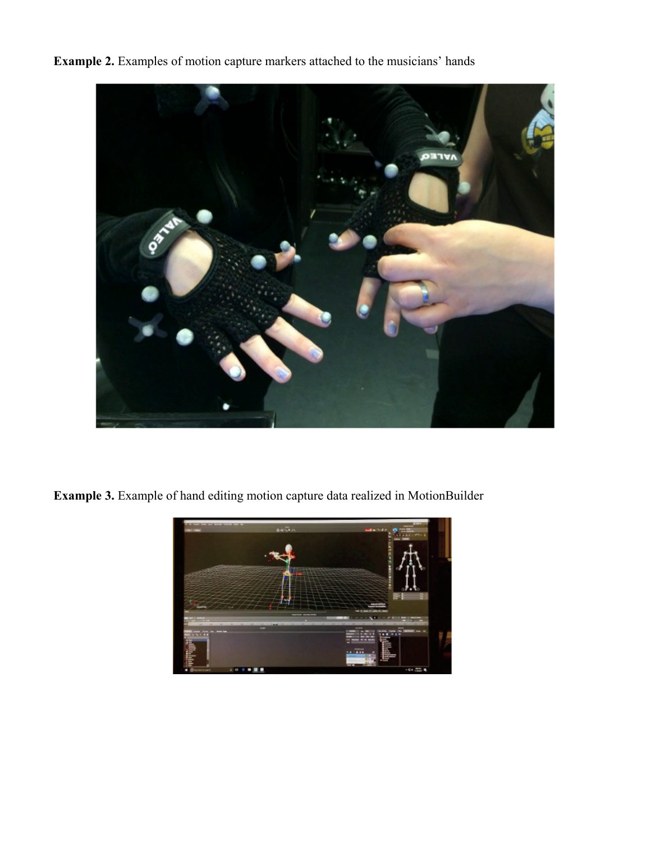**Example 2.** Examples of motion capture markers attached to the musicians' hands



**Example 3.** Example of hand editing motion capture data realized in MotionBuilder

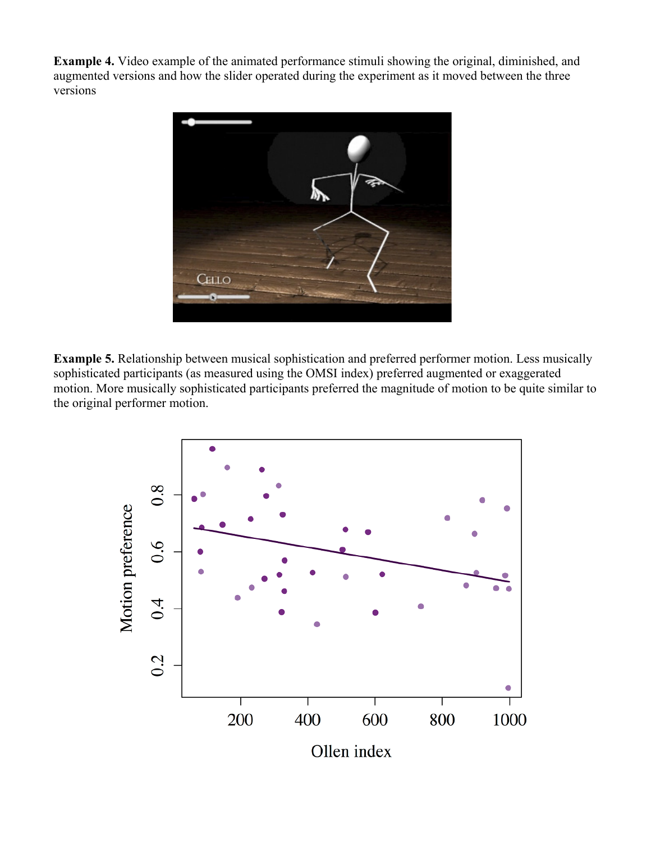**Example 4.** Video example of the animated performance stimuli showing the original, diminished, and augmented versions and how the slider operated during the experiment as it moved between the three versions



**Example 5.** Relationship between musical sophistication and preferred performer motion. Less musically sophisticated participants (as measured using the OMSI index) preferred augmented or exaggerated motion. More musically sophisticated participants preferred the magnitude of motion to be quite similar to the original performer motion.

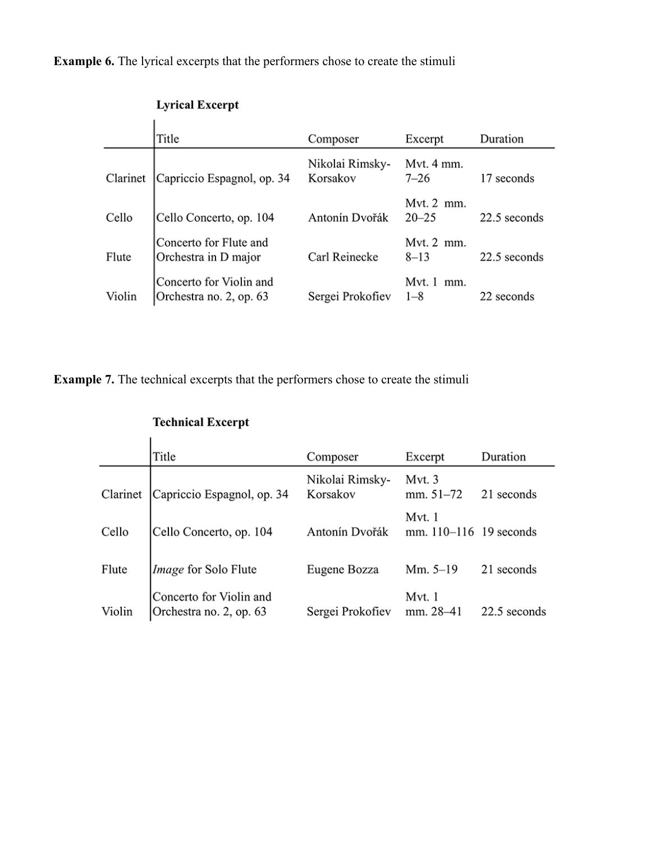**Example 6.** The lyrical excerpts that the performers chose to create the stimuli

## **Lyrical Excerpt**

|          | Title                                              | Composer                    | Excerpt                           | Duration     |
|----------|----------------------------------------------------|-----------------------------|-----------------------------------|--------------|
| Clarinet | Capriccio Espagnol, op. 34                         | Nikolai Rimsky-<br>Korsakov | Mvt. 4 mm.<br>$7 - 26$            | 17 seconds   |
| Cello    | Cello Concerto, op. 104                            | Antonín Dvořák              | Mvt. $2$ mm.<br>$20 - 25$         | 22.5 seconds |
| Flute    | Concerto for Flute and<br>Orchestra in D major     | Carl Reinecke               | Mvt. $2 \text{ mm}$ .<br>$8 - 13$ | 22.5 seconds |
| Violin   | Concerto for Violin and<br>Orchestra no. 2, op. 63 | Sergei Prokofiev            | Mvt. 1<br>mm.<br>$1 - 8$          | 22 seconds   |

**Example 7.** The technical excerpts that the performers chose to create the stimuli

|          | Title                                              | Composer                    | Excerpt                              | Duration     |
|----------|----------------------------------------------------|-----------------------------|--------------------------------------|--------------|
| Clarinet | Capriccio Espagnol, op. 34                         | Nikolai Rimsky-<br>Korsakov | Myt. 3<br>$mm. 51-72$                | 21 seconds   |
| Cello    | Cello Concerto, op. 104                            | Antonín Dvořák              | Mvt. 1<br>mm. $110 - 116$ 19 seconds |              |
| Flute    | Image for Solo Flute                               | Eugene Bozza                | Mm. $5-19$                           | 21 seconds   |
| Violin   | Concerto for Violin and<br>Orchestra no. 2, op. 63 | Sergei Prokofiev            | Mvt. 1<br>mm. 28-41                  | 22.5 seconds |

## **Technical Excerpt**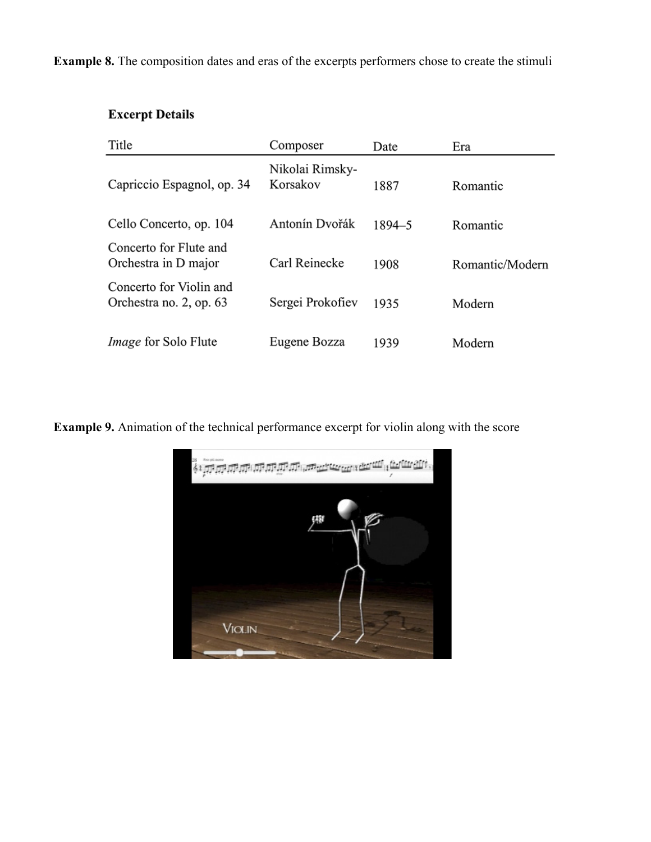**Example 8.** The composition dates and eras of the excerpts performers chose to create the stimuli

## **Excerpt Details**

| Title                                              | Composer                    | Date       | Era             |
|----------------------------------------------------|-----------------------------|------------|-----------------|
| Capriccio Espagnol, op. 34                         | Nikolai Rimsky-<br>Korsakov | 1887       | Romantic        |
| Cello Concerto, op. 104                            | Antonín Dvořák              | $1894 - 5$ | Romantic        |
| Concerto for Flute and<br>Orchestra in D major     | Carl Reinecke               | 1908       | Romantic/Modern |
| Concerto for Violin and<br>Orchestra no. 2, op. 63 | Sergei Prokofiev            | 1935       | Modern          |
| <i>Image</i> for Solo Flute                        | Eugene Bozza                | 1939       | Modern          |

**Example 9.** Animation of the technical performance excerpt for violin along with the score

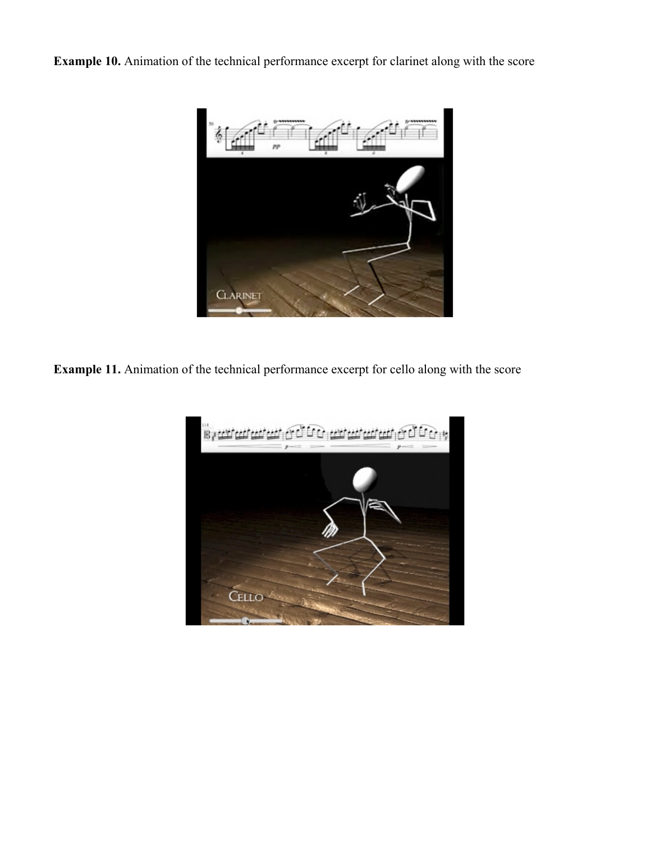**Example 10.** Animation of the technical performance excerpt for clarinet along with the score



**Example 11.** Animation of the technical performance excerpt for cello along with the score